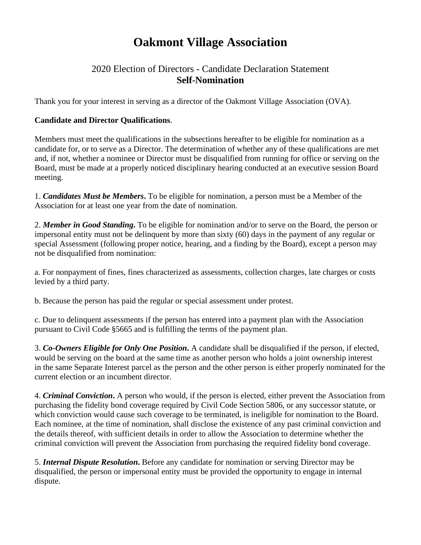## **Oakmont Village Association**

## 2020 Election of Directors - Candidate Declaration Statement **Self-Nomination**

Thank you for your interest in serving as a director of the Oakmont Village Association (OVA).

## **Candidate and Director Qualifications**.

Members must meet the qualifications in the subsections hereafter to be eligible for nomination as a candidate for, or to serve as a Director. The determination of whether any of these qualifications are met and, if not, whether a nominee or Director must be disqualified from running for office or serving on the Board, must be made at a properly noticed disciplinary hearing conducted at an executive session Board meeting.

1. *Candidates Must be Members***.** To be eligible for nomination, a person must be a Member of the Association for at least one year from the date of nomination.

2. *Member in Good Standing***.** To be eligible for nomination and/or to serve on the Board, the person or impersonal entity must not be delinquent by more than sixty (60) days in the payment of any regular or special Assessment (following proper notice, hearing, and a finding by the Board), except a person may not be disqualified from nomination:

a. For nonpayment of fines, fines characterized as assessments, collection charges, late charges or costs levied by a third party.

b. Because the person has paid the regular or special assessment under protest.

c. Due to delinquent assessments if the person has entered into a payment plan with the Association pursuant to Civil Code §5665 and is fulfilling the terms of the payment plan.

3. *Co-Owners Eligible for Only One Position***.** A candidate shall be disqualified if the person, if elected, would be serving on the board at the same time as another person who holds a joint ownership interest in the same Separate Interest parcel as the person and the other person is either properly nominated for the current election or an incumbent director.

4. *Criminal Conviction***.** A person who would, if the person is elected, either prevent the Association from purchasing the fidelity bond coverage required by Civil Code Section 5806, or any successor statute, or which conviction would cause such coverage to be terminated, is ineligible for nomination to the Board. Each nominee, at the time of nomination, shall disclose the existence of any past criminal conviction and the details thereof, with sufficient details in order to allow the Association to determine whether the criminal conviction will prevent the Association from purchasing the required fidelity bond coverage.

5. *Internal Dispute Resolution***.** Before any candidate for nomination or serving Director may be disqualified, the person or impersonal entity must be provided the opportunity to engage in internal dispute.